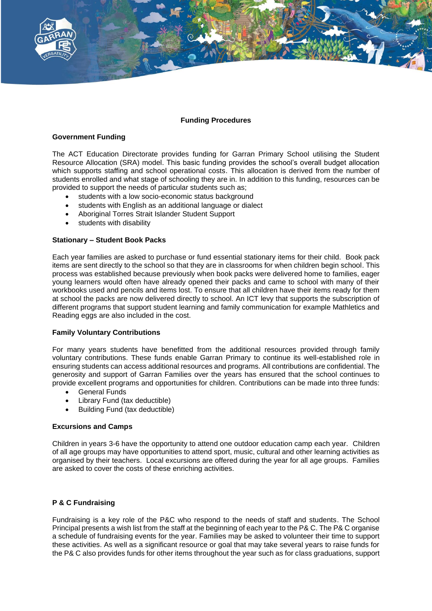

## **Funding Procedures**

### **Government Funding**

The ACT Education Directorate provides funding for Garran Primary School utilising the Student Resource Allocation (SRA) model. This basic funding provides the school's overall budget allocation which supports staffing and school operational costs. This allocation is derived from the number of students enrolled and what stage of schooling they are in. In addition to this funding, resources can be provided to support the needs of particular students such as;

- students with a low socio-economic status background
- students with English as an additional language or dialect
- Aboriginal Torres Strait Islander Student Support
- students with disability

### **Stationary – Student Book Packs**

Each year families are asked to purchase or fund essential stationary items for their child. Book pack items are sent directly to the school so that they are in classrooms for when children begin school. This process was established because previously when book packs were delivered home to families, eager young learners would often have already opened their packs and came to school with many of their workbooks used and pencils and items lost. To ensure that all children have their items ready for them at school the packs are now delivered directly to school. An ICT levy that supports the subscription of different programs that support student learning and family communication for example Mathletics and Reading eggs are also included in the cost.

### **Family Voluntary Contributions**

For many years students have benefitted from the additional resources provided through family voluntary contributions. These funds enable Garran Primary to continue its well-established role in ensuring students can access additional resources and programs. All contributions are confidential. The generosity and support of Garran Families over the years has ensured that the school continues to provide excellent programs and opportunities for children. Contributions can be made into three funds:

- General Funds
- Library Fund (tax deductible)
- Building Fund (tax deductible)

### **Excursions and Camps**

Children in years 3-6 have the opportunity to attend one outdoor education camp each year. Children of all age groups may have opportunities to attend sport, music, cultural and other learning activities as organised by their teachers. Local excursions are offered during the year for all age groups. Families are asked to cover the costs of these enriching activities.

### **P & C Fundraising**

Fundraising is a key role of the P&C who respond to the needs of staff and students. The School Principal presents a wish list from the staff at the beginning of each year to the P& C. The P& C organise a schedule of fundraising events for the year. Families may be asked to volunteer their time to support these activities. As well as a significant resource or goal that may take several years to raise funds for the P& C also provides funds for other items throughout the year such as for class graduations, support